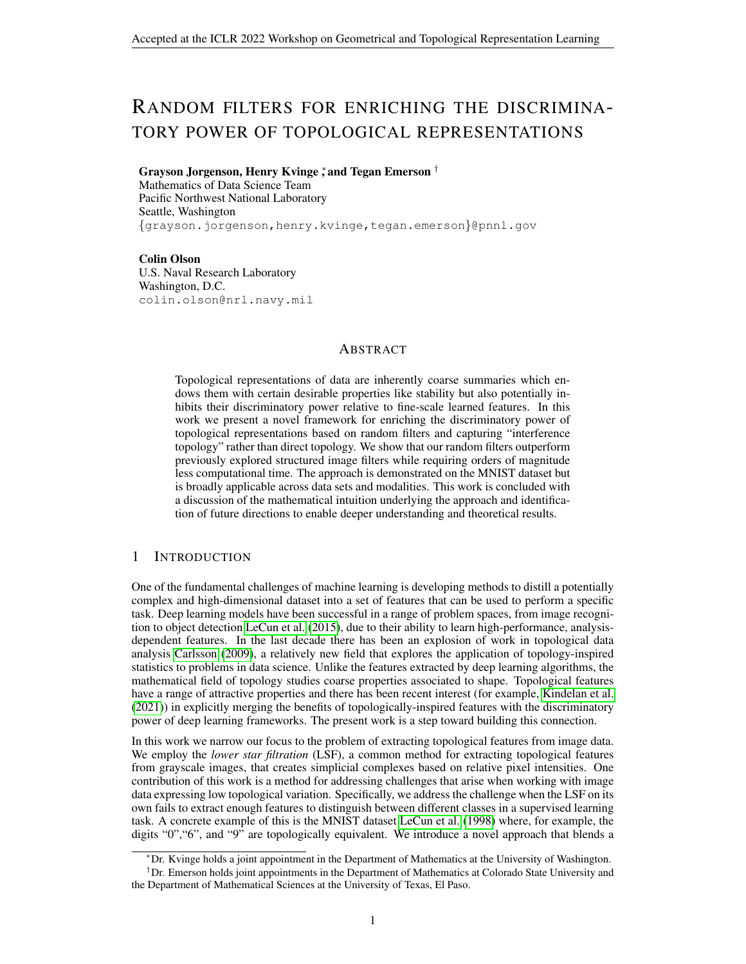# RANDOM FILTERS FOR ENRICHING THE DISCRIMINA-TORY POWER OF TOPOLOGICAL REPRESENTATIONS

# Grayson Jorgenson, Henry Kvinge  $\ddagger$  and Tegan Emerson  $^\dagger$

Mathematics of Data Science Team Pacific Northwest National Laboratory Seattle, Washington {grayson.jorgenson,henry.kvinge,tegan.emerson}@pnnl.gov

Colin Olson U.S. Naval Research Laboratory Washington, D.C. colin.olson@nrl.navy.mil

## ABSTRACT

Topological representations of data are inherently coarse summaries which endows them with certain desirable properties like stability but also potentially inhibits their discriminatory power relative to fine-scale learned features. In this work we present a novel framework for enriching the discriminatory power of topological representations based on random filters and capturing "interference topology" rather than direct topology. We show that our random filters outperform previously explored structured image filters while requiring orders of magnitude less computational time. The approach is demonstrated on the MNIST dataset but is broadly applicable across data sets and modalities. This work is concluded with a discussion of the mathematical intuition underlying the approach and identification of future directions to enable deeper understanding and theoretical results.

# 1 INTRODUCTION

One of the fundamental challenges of machine learning is developing methods to distill a potentially complex and high-dimensional dataset into a set of features that can be used to perform a specific task. Deep learning models have been successful in a range of problem spaces, from image recognition to object detection [LeCun et al.](#page-4-0) [\(2015\)](#page-4-0), due to their ability to learn high-performance, analysisdependent features. In the last decade there has been an explosion of work in topological data analysis [Carlsson](#page-4-1) [\(2009\)](#page-4-1), a relatively new field that explores the application of topology-inspired statistics to problems in data science. Unlike the features extracted by deep learning algorithms, the mathematical field of topology studies coarse properties associated to shape. Topological features have a range of attractive properties and there has been recent interest (for example, [Kindelan et al.](#page-4-2) [\(2021\)](#page-4-2)) in explicitly merging the benefits of topologically-inspired features with the discriminatory power of deep learning frameworks. The present work is a step toward building this connection.

In this work we narrow our focus to the problem of extracting topological features from image data. We employ the *lower star filtration* (LSF), a common method for extracting topological features from grayscale images, that creates simplicial complexes based on relative pixel intensities. One contribution of this work is a method for addressing challenges that arise when working with image data expressing low topological variation. Specifically, we address the challenge when the LSF on its own fails to extract enough features to distinguish between different classes in a supervised learning task. A concrete example of this is the MNIST dataset [LeCun et al.](#page-4-3) [\(1998\)](#page-4-3) where, for example, the digits "0","6", and "9" are topologically equivalent. We introduce a novel approach that blends a

<sup>∗</sup>Dr. Kvinge holds a joint appointment in the Department of Mathematics at the University of Washington.

<sup>†</sup>Dr. Emerson holds joint appointments in the Department of Mathematics at Colorado State University and the Department of Mathematical Sciences at the University of Texas, El Paso.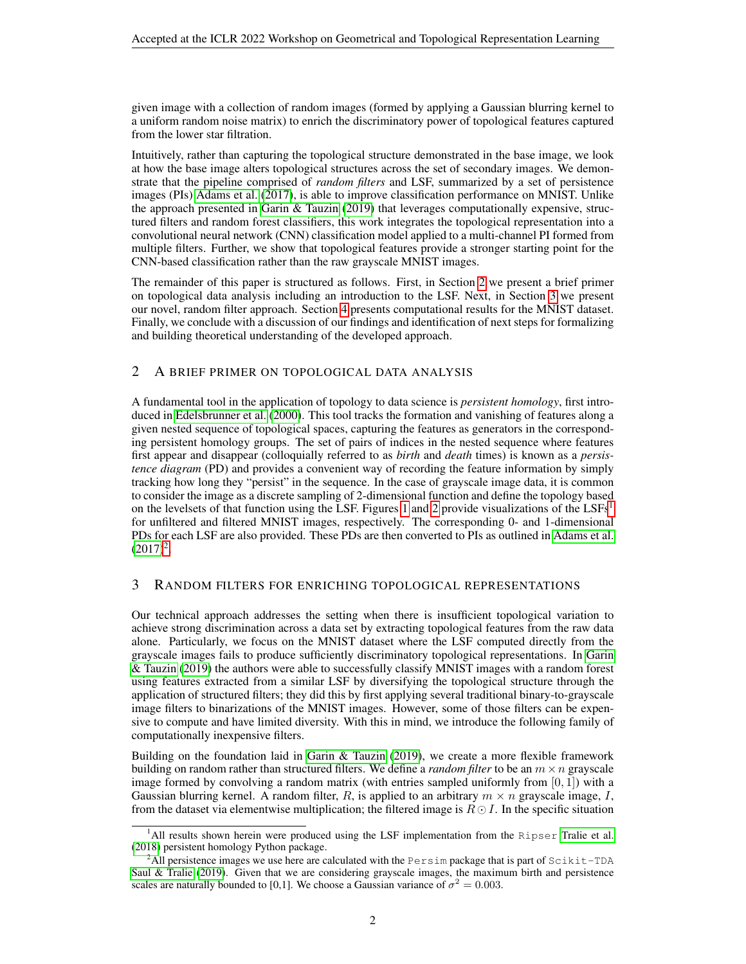given image with a collection of random images (formed by applying a Gaussian blurring kernel to a uniform random noise matrix) to enrich the discriminatory power of topological features captured from the lower star filtration.

Intuitively, rather than capturing the topological structure demonstrated in the base image, we look at how the base image alters topological structures across the set of secondary images. We demonstrate that the pipeline comprised of *random filters* and LSF, summarized by a set of persistence images (PIs) [Adams et al.](#page-4-4) [\(2017\)](#page-4-4), is able to improve classification performance on MNIST. Unlike the approach presented in [Garin & Tauzin](#page-4-5) [\(2019\)](#page-4-5) that leverages computationally expensive, structured filters and random forest classifiers, this work integrates the topological representation into a convolutional neural network (CNN) classification model applied to a multi-channel PI formed from multiple filters. Further, we show that topological features provide a stronger starting point for the CNN-based classification rather than the raw grayscale MNIST images.

The remainder of this paper is structured as follows. First, in Section [2](#page-1-0) we present a brief primer on topological data analysis including an introduction to the LSF. Next, in Section [3](#page-1-1) we present our novel, random filter approach. Section [4](#page-2-0) presents computational results for the MNIST dataset. Finally, we conclude with a discussion of our findings and identification of next steps for formalizing and building theoretical understanding of the developed approach.

# <span id="page-1-0"></span>2 A BRIEF PRIMER ON TOPOLOGICAL DATA ANALYSIS

A fundamental tool in the application of topology to data science is *persistent homology*, first introduced in [Edelsbrunner et al.](#page-4-6) [\(2000\)](#page-4-6). This tool tracks the formation and vanishing of features along a given nested sequence of topological spaces, capturing the features as generators in the corresponding persistent homology groups. The set of pairs of indices in the nested sequence where features first appear and disappear (colloquially referred to as *birth* and *death* times) is known as a *persistence diagram* (PD) and provides a convenient way of recording the feature information by simply tracking how long they "persist" in the sequence. In the case of grayscale image data, it is common to consider the image as a discrete sampling of 2-dimensional function and define the topology based on the levelsets of that function using the LSF. Figures [1](#page-2-1) and [2](#page-2-2) provide visualizations of the LSFs<sup>[1](#page-1-2)</sup> for unfiltered and filtered MNIST images, respectively. The corresponding 0- and 1-dimensional PDs for each LSF are also provided. These PDs are then converted to PIs as outlined in [Adams et al.](#page-4-4)  $(2017)^2$  $(2017)^2$  $(2017)^2$ .

# <span id="page-1-1"></span>3 RANDOM FILTERS FOR ENRICHING TOPOLOGICAL REPRESENTATIONS

Our technical approach addresses the setting when there is insufficient topological variation to achieve strong discrimination across a data set by extracting topological features from the raw data alone. Particularly, we focus on the MNIST dataset where the LSF computed directly from the grayscale images fails to produce sufficiently discriminatory topological representations. In [Garin](#page-4-5) [& Tauzin](#page-4-5) [\(2019\)](#page-4-5) the authors were able to successfully classify MNIST images with a random forest using features extracted from a similar LSF by diversifying the topological structure through the application of structured filters; they did this by first applying several traditional binary-to-grayscale image filters to binarizations of the MNIST images. However, some of those filters can be expensive to compute and have limited diversity. With this in mind, we introduce the following family of computationally inexpensive filters.

Building on the foundation laid in [Garin & Tauzin](#page-4-5) [\(2019\)](#page-4-5), we create a more flexible framework building on random rather than structured filters. We define a *random filter* to be an  $m \times n$  grayscale image formed by convolving a random matrix (with entries sampled uniformly from  $[0, 1]$ ) with a Gaussian blurring kernel. A random filter, R, is applied to an arbitrary  $m \times n$  grayscale image, I, from the dataset via elementwise multiplication; the filtered image is  $R \odot I$ . In the specific situation

<span id="page-1-2"></span> $<sup>1</sup>$ All results shown herein were produced using the LSF implementation from the Ripser [Tralie et al.](#page-4-7)</sup> [\(2018\)](#page-4-7) persistent homology Python package.

<span id="page-1-3"></span><sup>&</sup>lt;sup>2</sup>All persistence images we use here are calculated with the Persim package that is part of Scikit-TDA [Saul & Tralie](#page-4-8) [\(2019\)](#page-4-8). Given that we are considering grayscale images, the maximum birth and persistence scales are naturally bounded to [0,1]. We choose a Gaussian variance of  $\sigma^2 = 0.003$ .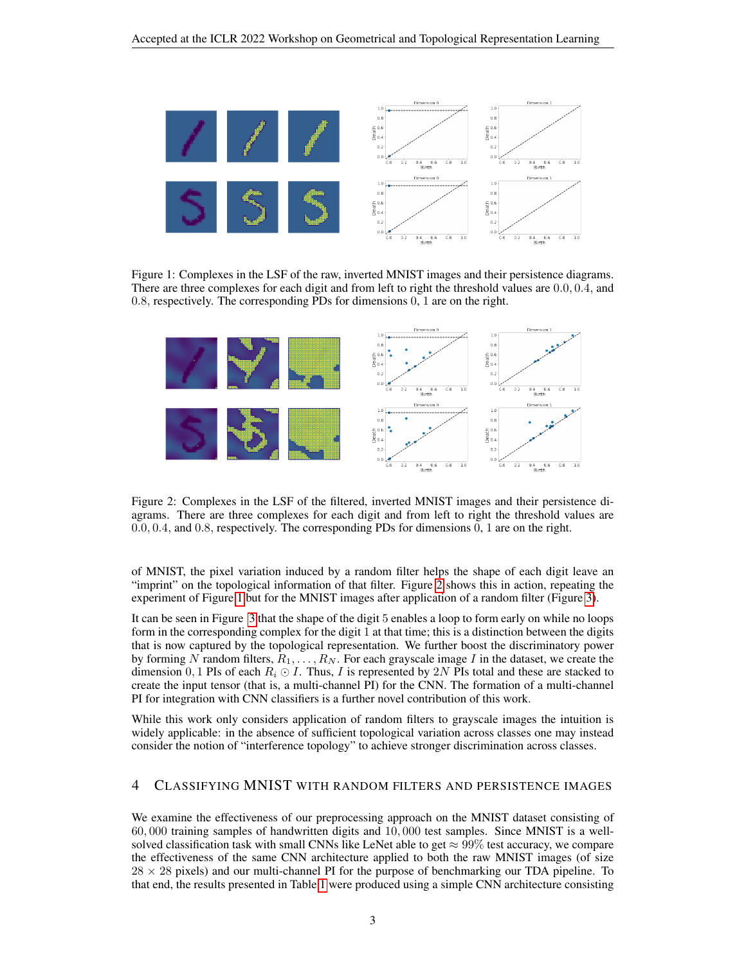

<span id="page-2-1"></span>Figure 1: Complexes in the LSF of the raw, inverted MNIST images and their persistence diagrams. There are three complexes for each digit and from left to right the threshold values are 0.0, 0.4, and 0.8, respectively. The corresponding PDs for dimensions 0, 1 are on the right.



<span id="page-2-2"></span>Figure 2: Complexes in the LSF of the filtered, inverted MNIST images and their persistence diagrams. There are three complexes for each digit and from left to right the threshold values are 0.0, 0.4, and 0.8, respectively. The corresponding PDs for dimensions 0, 1 are on the right.

of MNIST, the pixel variation induced by a random filter helps the shape of each digit leave an "imprint" on the topological information of that filter. Figure [2](#page-2-2) shows this in action, repeating the experiment of Figure [1](#page-2-1) but for the MNIST images after application of a random filter (Figure [3\)](#page-3-0).

It can be seen in Figure [3](#page-3-0) that the shape of the digit 5 enables a loop to form early on while no loops form in the corresponding complex for the digit 1 at that time; this is a distinction between the digits that is now captured by the topological representation. We further boost the discriminatory power by forming N random filters,  $R_1, \ldots, R_N$ . For each grayscale image I in the dataset, we create the dimension 0, 1 PIs of each  $R_i \odot I$ . Thus, I is represented by 2N PIs total and these are stacked to create the input tensor (that is, a multi-channel PI) for the CNN. The formation of a multi-channel PI for integration with CNN classifiers is a further novel contribution of this work.

While this work only considers application of random filters to grayscale images the intuition is widely applicable: in the absence of sufficient topological variation across classes one may instead consider the notion of "interference topology" to achieve stronger discrimination across classes.

### <span id="page-2-0"></span>4 CLASSIFYING MNIST WITH RANDOM FILTERS AND PERSISTENCE IMAGES

We examine the effectiveness of our preprocessing approach on the MNIST dataset consisting of 60, 000 training samples of handwritten digits and 10, 000 test samples. Since MNIST is a wellsolved classification task with small CNNs like LeNet able to get  $\approx 99\%$  test accuracy, we compare the effectiveness of the same CNN architecture applied to both the raw MNIST images (of size  $28 \times 28$  pixels) and our multi-channel PI for the purpose of benchmarking our TDA pipeline. To that end, the results presented in Table [1](#page-3-1) were produced using a simple CNN architecture consisting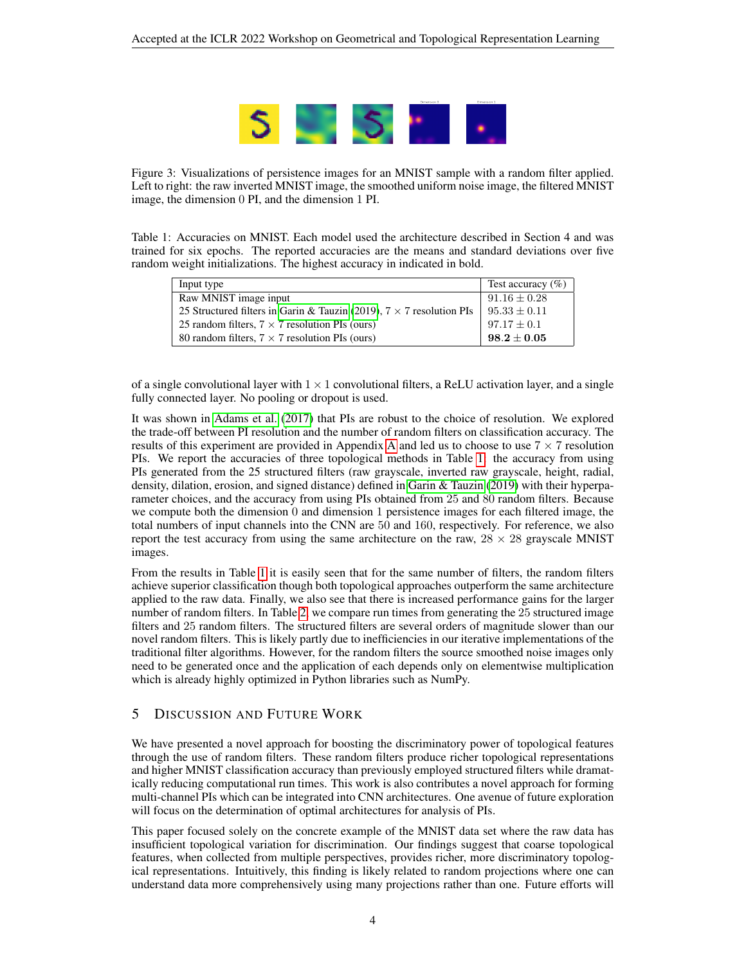

<span id="page-3-0"></span>Figure 3: Visualizations of persistence images for an MNIST sample with a random filter applied. Left to right: the raw inverted MNIST image, the smoothed uniform noise image, the filtered MNIST image, the dimension 0 PI, and the dimension 1 PI.

<span id="page-3-1"></span>Table 1: Accuracies on MNIST. Each model used the architecture described in Section 4 and was trained for six epochs. The reported accuracies are the means and standard deviations over five random weight initializations. The highest accuracy in indicated in bold.

| Input type                                                                  | Test accuracy $(\%)$ |
|-----------------------------------------------------------------------------|----------------------|
| Raw MNIST image input                                                       | $91.16 \pm 0.28$     |
| 25 Structured filters in Garin & Tauzin (2019), $7 \times 7$ resolution PIs | $95.33 \pm 0.11$     |
| 25 random filters, $7 \times 7$ resolution PIs (ours)                       | $97.17 \pm 0.1$      |
| 80 random filters, $7 \times 7$ resolution PIs (ours)                       | $98.2 \pm 0.05$      |

of a single convolutional layer with  $1 \times 1$  convolutional filters, a ReLU activation layer, and a single fully connected layer. No pooling or dropout is used.

It was shown in [Adams et al.](#page-4-4) [\(2017\)](#page-4-4) that PIs are robust to the choice of resolution. We explored the trade-off between PI resolution and the number of random filters on classification accuracy. The results of this experiment are provided in [A](#page-5-0)ppendix A and led us to choose to use  $7 \times 7$  resolution PIs. We report the accuracies of three topological methods in Table [1:](#page-3-1) the accuracy from using PIs generated from the 25 structured filters (raw grayscale, inverted raw grayscale, height, radial, density, dilation, erosion, and signed distance) defined in [Garin & Tauzin](#page-4-5) [\(2019\)](#page-4-5) with their hyperparameter choices, and the accuracy from using PIs obtained from 25 and 80 random filters. Because we compute both the dimension 0 and dimension 1 persistence images for each filtered image, the total numbers of input channels into the CNN are 50 and 160, respectively. For reference, we also report the test accuracy from using the same architecture on the raw,  $28 \times 28$  grayscale MNIST images.

From the results in Table [1](#page-3-1) it is easily seen that for the same number of filters, the random filters achieve superior classification though both topological approaches outperform the same architecture applied to the raw data. Finally, we also see that there is increased performance gains for the larger number of random filters. In Table [2,](#page-4-9) we compare run times from generating the 25 structured image filters and 25 random filters. The structured filters are several orders of magnitude slower than our novel random filters. This is likely partly due to inefficiencies in our iterative implementations of the traditional filter algorithms. However, for the random filters the source smoothed noise images only need to be generated once and the application of each depends only on elementwise multiplication which is already highly optimized in Python libraries such as NumPy.

# 5 DISCUSSION AND FUTURE WORK

We have presented a novel approach for boosting the discriminatory power of topological features through the use of random filters. These random filters produce richer topological representations and higher MNIST classification accuracy than previously employed structured filters while dramatically reducing computational run times. This work is also contributes a novel approach for forming multi-channel PIs which can be integrated into CNN architectures. One avenue of future exploration will focus on the determination of optimal architectures for analysis of PIs.

This paper focused solely on the concrete example of the MNIST data set where the raw data has insufficient topological variation for discrimination. Our findings suggest that coarse topological features, when collected from multiple perspectives, provides richer, more discriminatory topological representations. Intuitively, this finding is likely related to random projections where one can understand data more comprehensively using many projections rather than one. Future efforts will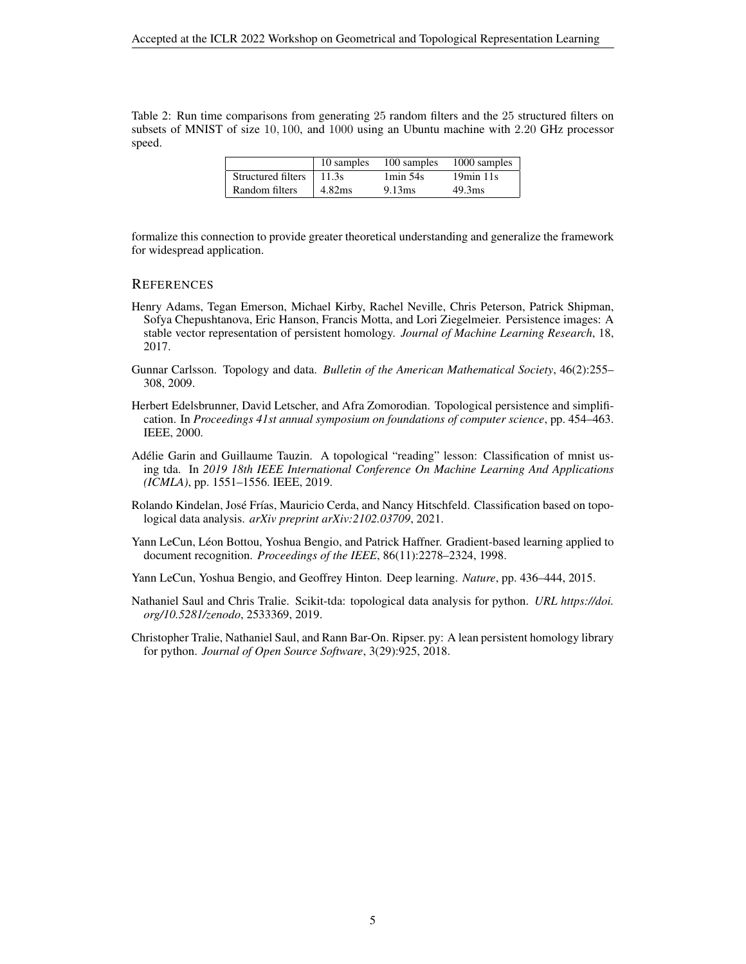<span id="page-4-9"></span>Table 2: Run time comparisons from generating 25 random filters and the 25 structured filters on subsets of MNIST of size 10, 100, and 1000 using an Ubuntu machine with 2.20 GHz processor speed.

|                            |                |                       | 10 samples 100 samples 1000 samples |
|----------------------------|----------------|-----------------------|-------------------------------------|
| Structured filters   11.3s |                | $1\,\mathrm{min}$ 54s | $19min$ 11s                         |
| Random filters             | $\vert$ 4.82ms | 9.13ms                | 49.3 <sub>ms</sub>                  |

formalize this connection to provide greater theoretical understanding and generalize the framework for widespread application.

#### **REFERENCES**

- <span id="page-4-4"></span>Henry Adams, Tegan Emerson, Michael Kirby, Rachel Neville, Chris Peterson, Patrick Shipman, Sofya Chepushtanova, Eric Hanson, Francis Motta, and Lori Ziegelmeier. Persistence images: A stable vector representation of persistent homology. *Journal of Machine Learning Research*, 18, 2017.
- <span id="page-4-1"></span>Gunnar Carlsson. Topology and data. *Bulletin of the American Mathematical Society*, 46(2):255– 308, 2009.
- <span id="page-4-6"></span>Herbert Edelsbrunner, David Letscher, and Afra Zomorodian. Topological persistence and simplification. In *Proceedings 41st annual symposium on foundations of computer science*, pp. 454–463. IEEE, 2000.
- <span id="page-4-5"></span>Adelie Garin and Guillaume Tauzin. A topological "reading" lesson: Classification of mnist us- ´ ing tda. In *2019 18th IEEE International Conference On Machine Learning And Applications (ICMLA)*, pp. 1551–1556. IEEE, 2019.
- <span id="page-4-2"></span>Rolando Kindelan, José Frías, Mauricio Cerda, and Nancy Hitschfeld. Classification based on topological data analysis. *arXiv preprint arXiv:2102.03709*, 2021.
- <span id="page-4-3"></span>Yann LeCun, Léon Bottou, Yoshua Bengio, and Patrick Haffner. Gradient-based learning applied to document recognition. *Proceedings of the IEEE*, 86(11):2278–2324, 1998.
- <span id="page-4-0"></span>Yann LeCun, Yoshua Bengio, and Geoffrey Hinton. Deep learning. *Nature*, pp. 436–444, 2015.
- <span id="page-4-8"></span>Nathaniel Saul and Chris Tralie. Scikit-tda: topological data analysis for python. *URL https://doi. org/10.5281/zenodo*, 2533369, 2019.
- <span id="page-4-7"></span>Christopher Tralie, Nathaniel Saul, and Rann Bar-On. Ripser. py: A lean persistent homology library for python. *Journal of Open Source Software*, 3(29):925, 2018.